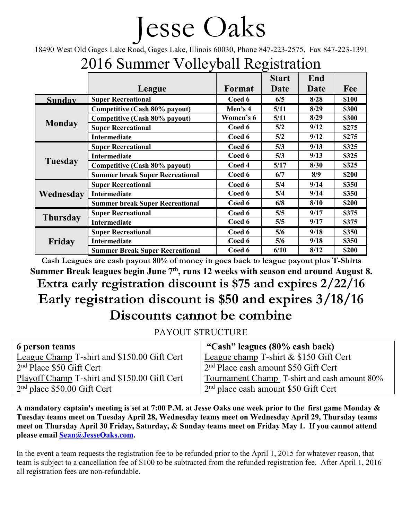## Jesse Oaks

18490 West Old Gages Lake Road, Gages Lake, Illinois 60030, Phone 847-223-2575, Fax 847-223-1391

## 2016 Summer Volleyball Registration

|                 |                                        |           | <b>Start</b> | End         |              |
|-----------------|----------------------------------------|-----------|--------------|-------------|--------------|
|                 | League                                 | Format    | Date         | <b>Date</b> | Fee          |
| <b>Sunday</b>   | <b>Super Recreational</b>              | Coed 6    | 6/5          | 8/28        | \$100        |
| <b>Monday</b>   | Competitive (Cash 80% payout)          | Men's 4   | 5/11         | 8/29        | <b>\$300</b> |
|                 | Competitive (Cash 80% payout)          | Women's 6 | 5/11         | 8/29        | <b>\$300</b> |
|                 | <b>Super Recreational</b>              | Coed 6    | 5/2          | 9/12        | \$275        |
|                 | <b>Intermediate</b>                    | Coed 6    | 5/2          | 9/12        | \$275        |
| Tuesday         | <b>Super Recreational</b>              | Coed 6    | 5/3          | 9/13        | \$325        |
|                 | <b>Intermediate</b>                    | Coed 6    | 5/3          | 9/13        | \$325        |
|                 | Competitive (Cash 80% payout)          | Coed 4    | 5/17         | 8/30        | \$325        |
|                 | <b>Summer break Super Recreational</b> | Coed 6    | 6/7          | 8/9         | \$200        |
| Wednesday       | <b>Super Recreational</b>              | Coed 6    | 5/4          | 9/14        | \$350        |
|                 | <b>Intermediate</b>                    | Coed 6    | 5/4          | 9/14        | \$350        |
|                 | <b>Summer break Super Recreational</b> | Coed 6    | 6/8          | 8/10        | \$200        |
| <b>Thursday</b> | <b>Super Recreational</b>              | Coed 6    | 5/5          | 9/17        | \$375        |
|                 | <b>Intermediate</b>                    | Coed 6    | 5/5          | 9/17        | \$375        |
| Friday          | <b>Super Recreational</b>              | Coed 6    | 5/6          | 9/18        | \$350        |
|                 | <b>Intermediate</b>                    | Coed 6    | 5/6          | 9/18        | \$350        |
|                 | <b>Summer Break Super Recreational</b> | Coed 6    | 6/10         | 8/12        | \$200        |

**Cash Leagues are cash payout 80% of money in goes back to league payout plus T-Shirts Summer Break leagues begin June 7 th , runs 12 weeks with season end around August 8. Extra early registration discount is \$75 and expires 2/22/16 Early registration discount is \$50 and expires 3/18/16 Discounts cannot be combine**

PAYOUT STRUCTURE

| 6 person teams                               | "Cash" leagues (80% cash back)                   |
|----------------------------------------------|--------------------------------------------------|
| League Champ T-shirt and \$150.00 Gift Cert  | League champ T-shirt $&$ \$150 Gift Cert         |
| 2 <sup>nd</sup> Place \$50 Gift Cert         | 2 <sup>nd</sup> Place cash amount \$50 Gift Cert |
| Playoff Champ T-shirt and \$150.00 Gift Cert | Tournament Champ T-shirt and cash amount 80%     |
| $2nd$ place \$50.00 Gift Cert                | $2nd$ place cash amount \$50 Gift Cert           |

A mandatory captain's meeting is set at 7:00 P.M. at Jesse Oaks one week prior to the first game Monday & **Tuesday teams meet on Tuesday April 28, Wednesday teams meet on Wednesday April 29, Thursday teams** meet on Thursday April 30 Friday, Saturday, & Sunday teams meet on Friday May 1. If you cannot attend **please email [Sean@JesseOaks.com](mailto:Sean@JesseOaks.com).**

In the event a team requests the registration fee to be refunded prior to the April 1, 2015 for whatever reason, that team is subject to a cancellation fee of \$100 to be subtracted from the refunded registration fee. After April 1, 2016 all registration fees are non-refundable.